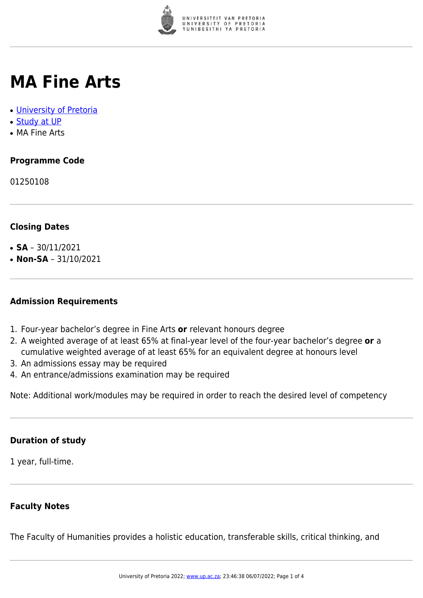

# **MA Fine Arts**

- [University of Pretoria](https://www.up.ac.za/home)
- [Study at UP](https://www.up.ac.za/programmes)
- MA Fine Arts

# **Programme Code**

01250108

# **Closing Dates**

- **SA**  $30/11/2021$
- $\cdot$  **Non-SA** 31/10/2021

#### **Admission Requirements**

- 1. Four-year bachelor's degree in Fine Arts **or** relevant honours degree
- 2. A weighted average of at least 65% at final-year level of the four-year bachelor's degree **or** a cumulative weighted average of at least 65% for an equivalent degree at honours level
- 3. An admissions essay may be required
- 4. An entrance/admissions examination may be required

Note: Additional work/modules may be required in order to reach the desired level of competency

# **Duration of study**

1 year, full-time.

# **Faculty Notes**

The Faculty of Humanities provides a holistic education, transferable skills, critical thinking, and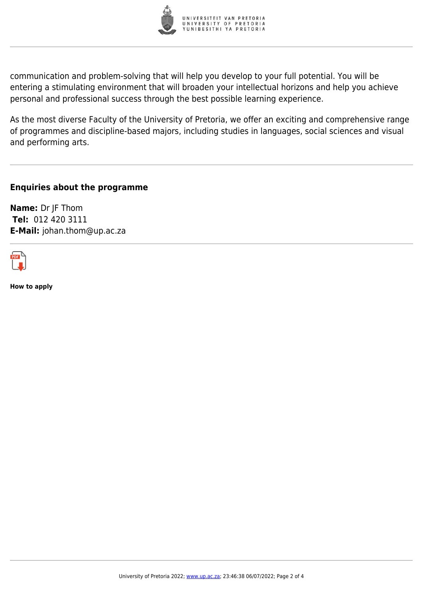

communication and problem-solving that will help you develop to your full potential. You will be entering a stimulating environment that will broaden your intellectual horizons and help you achieve personal and professional success through the best possible learning experience.

As the most diverse Faculty of the University of Pretoria, we offer an exciting and comprehensive range of programmes and discipline-based majors, including studies in languages, social sciences and visual and performing arts.

**Enquiries about the programme**

**Name:** Dr JF Thom **Tel:** 012 420 3111 **E-Mail:** johan.thom@up.ac.za



**How to apply**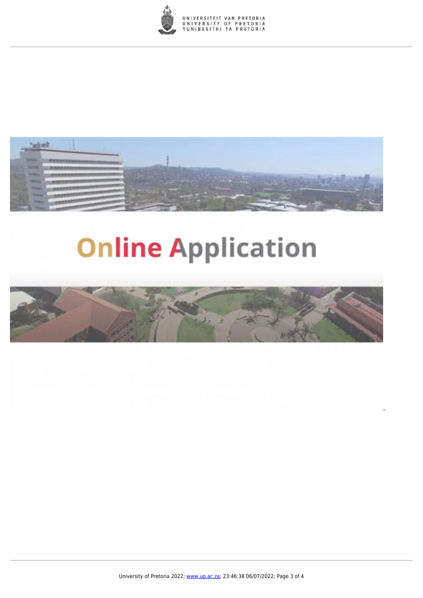



# **Online Application**